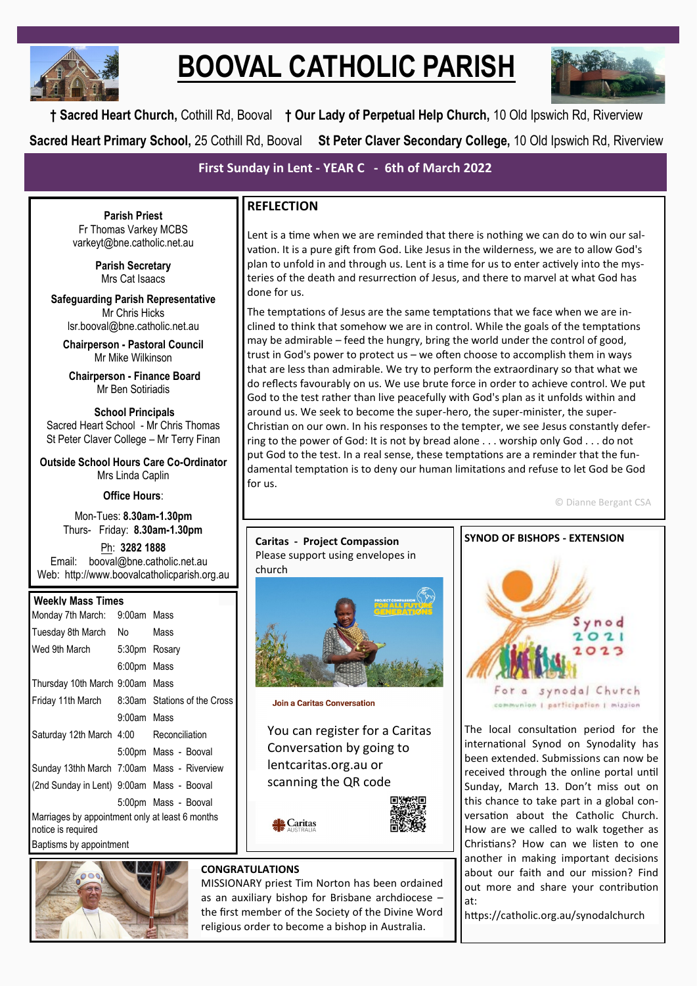

# **BOOVAL CATHOLIC PARISH**



**† Sacred Heart Church,** Cothill Rd, Booval **† Our Lady of Perpetual Help Church,** 10 Old Ipswich Rd, Riverview **Sacred Heart Primary School,** 25 Cothill Rd, Booval **St Peter Claver Secondary College,** 10 Old Ipswich Rd, Riverview

**First Sunday in Lent - YEAR C - 6th of March 2022**

**Parish Priest** Fr Thomas Varkey MCBS varkeyt@bne.catholic.net.au

> **Parish Secretary** Mrs Cat Isaacs

**Safeguarding Parish Representative** Mr Chris Hicks [lsr.booval@bne.catholic.net.au](mailto:lsr.booval@bne.catholi.net.au)

**Chairperson - Pastoral Council** Mr Mike Wilkinson

**Chairperson - Finance Board** Mr Ben Sotiriadis

**School Principals** Sacred Heart School - Mr Chris Thomas St Peter Claver College – Mr Terry Finan

**Outside School Hours Care Co-Ordinator** Mrs Linda Caplin

**Office Hours**:

Mon-Tues: **8.30am-1.30pm** Thurs- Friday: **8.30am-1.30pm**

Ph: **3282 1888**  Email: booval@bne.catholic.net.au Web: http://www.boovalcatholicparish.org.au

## **Weekly Mass Times**

| Monday 7th March:                                                     | 9:00am Mass   |                              |
|-----------------------------------------------------------------------|---------------|------------------------------|
| Tuesday 8th March                                                     | No l          | Mass                         |
| Wed 9th March                                                         | 5:30pm Rosary |                              |
|                                                                       | 6:00pm Mass   |                              |
| Thursday 10th March 9:00am Mass                                       |               |                              |
| Friday 11th March                                                     |               | 8:30am Stations of the Cross |
|                                                                       | 9:00am Mass   |                              |
| Saturday 12th March 4:00 Reconciliation                               |               |                              |
|                                                                       |               | 5:00pm Mass - Booval         |
| Sunday 13thh March 7:00am Mass - Riverview                            |               |                              |
| (2nd Sunday in Lent) 9:00am Mass - Booval                             |               |                              |
|                                                                       |               | 5:00pm Mass - Booval         |
| Marriages by appointment only at least 6 months<br>notice is required |               |                              |
|                                                                       |               |                              |

Baptisms by appointment



# **REFLECTION**

Lent is a time when we are reminded that there is nothing we can do to win our salvation. It is a pure gift from God. Like Jesus in the wilderness, we are to allow God's plan to unfold in and through us. Lent is a time for us to enter actively into the mysteries of the death and resurrection of Jesus, and there to marvel at what God has done for us.

The temptations of Jesus are the same temptations that we face when we are inclined to think that somehow we are in control. While the goals of the temptations may be admirable – feed the hungry, bring the world under the control of good, trust in God's power to protect us – we often choose to accomplish them in ways that are less than admirable. We try to perform the extraordinary so that what we do reflects favourably on us. We use brute force in order to achieve control. We put God to the test rather than live peacefully with God's plan as it unfolds within and around us. We seek to become the super-hero, the super-minister, the super-Christian on our own. In his responses to the tempter, we see Jesus constantly deferring to the power of God: It is not by bread alone . . . worship only God . . . do not put God to the test. In a real sense, these temptations are a reminder that the fundamental temptation is to deny our human limitations and refuse to let God be God for us.

© Dianne Bergant CSA

# Please support using envelopes in church

**Caritas - Project Compassion**

**Join a Caritas Conversation** 

You can register for a Caritas Conversation by going to lentcaritas.org.au or scanning the QR code

Caritas



### **CONGRATULATIONS**

MISSIONARY priest Tim Norton has been ordained as an auxiliary bishop for Brisbane archdiocese – the first member of the Society of the Divine Word religious order to become a bishop in Australia.



The local consultation period for the international Synod on Synodality has been extended. Submissions can now be received through the online portal until Sunday, March 13. Don't miss out on this chance to take part in a global conversation about the Catholic Church. How are we called to walk together as Christians? How can we listen to one another in making important decisions about our faith and our mission? Find out more and share your contribution at:

https://catholic.org.au/synodalchurch